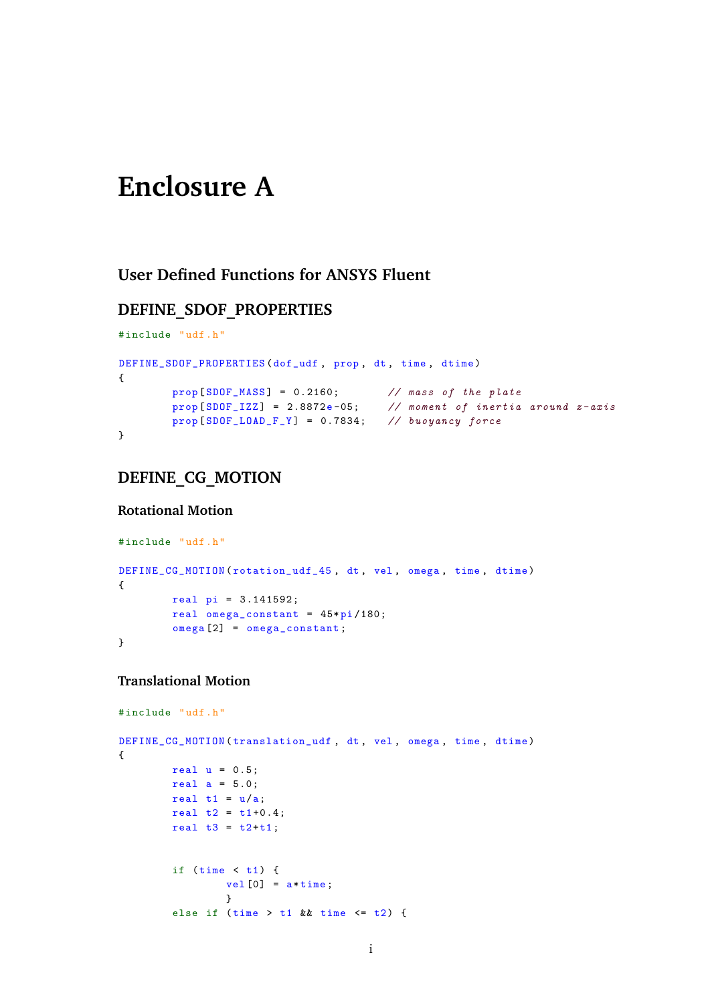# **Enclosure A**

## **User Defined Functions for ANSYS Fluent**

## **DEFINE\_SDOF\_PROPERTIES**

```
#include "udf.h"
DEFINE_SDOF_PROPERTIES ( dof_udf , prop , dt , time , dtime )
{
        prop [SDOF_MASS] = 0.2160; // mass of the plate
        prop [ SDOF_IZZ ] = 2.8872e -05; // moment of inertia around z- axis
        prop [ SDOF_LOAD_F_Y ] = 0.7834; // buoyancy force
}
```
## **DEFINE\_CG\_MOTION**

#### **Rotational Motion**

```
# include "udf.h"
DEFINE_CG_MOTION (rotation_udf_45, dt, vel, omega, time, dtime)
{
        real pi = 3.141592;
        real omega_constant = 45* pi /180;
        omega [2] = omega_constant ;
}
```
#### **Translational Motion**

```
# include "udf.h"
DEFINE_CG_MOTION (translation_udf, dt, vel, omega, time, dtime)
{
        real u = 0.5;
        real a = 5.0;
        real t1 = u/a;
        real t2 = t1 + 0.4;
        real t3 = t2+t1;
        if (time < t1) {
                vel[0] = a * time;}
        else if (time > t1 & time < t2 {
```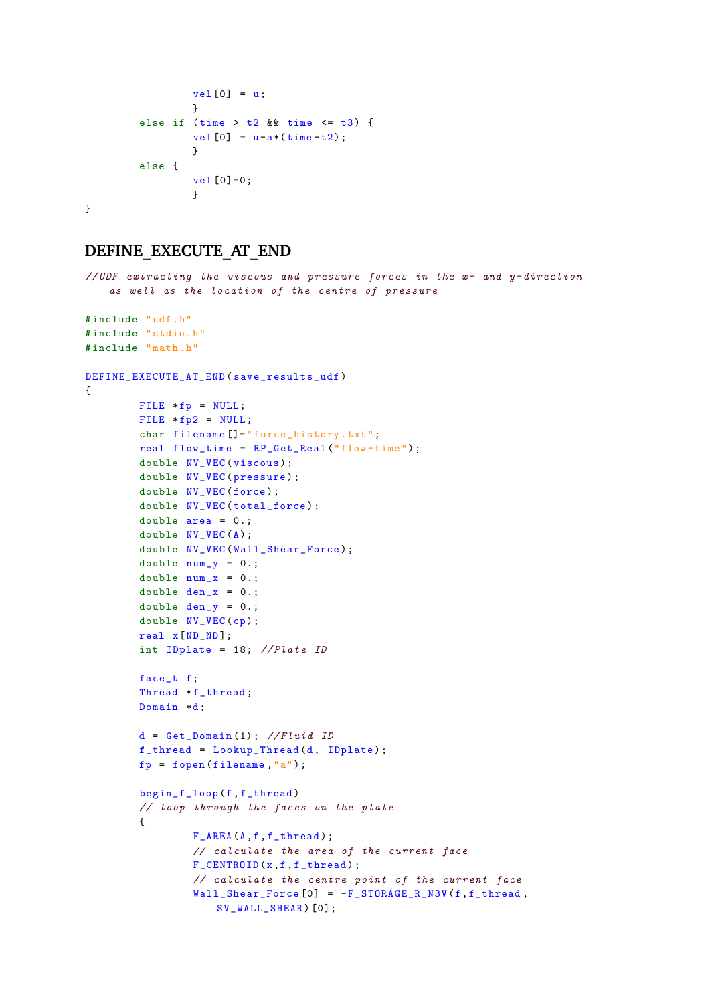```
vel[0] = u;}
        else if (time > t2 & time \leq t3) {
                vel[0] = u-a*(time-t2);}
        else {
                vel[0]=0;}
}
```
## **DEFINE\_EXECUTE\_AT\_END**

```
//UDF extracting the viscous and pressure forces in the x- and y-directionas well as the location of the centre of pressure
# include "udf.h"
# include " stdio .h"
#include "math.h"
DEFINE_EXECUTE_AT_END ( save_results_udf )
{
        FILE *fp = NULL;
        FILE *fp2 = NULL;char filename []="force_history.txt";
        real flow_time = RP_Get_Real ("flow - time ") ;
        double NV_VEC (viscous);
        double NV_VEC (pressure);
        double NV_VEC (force);
        double NV_VEC (total_force);
        double area = 0.;
        double NV_VEC (A) ;
        double NV_VEC(Wall_Shear_Force);
        double num_y = 0.;
        double num_x = 0.;
        double den_x = 0.;
        double den_y = 0.;
        double NV_VEC (cp);
        real x[ ND_ND ];
        int IDplate = 18; //Plate ID
        face_t f;
        Thread *f_thread;
        Domain *d;
        d = Get\_Domain(1); // FluidIDf_thread = Lookup_Thread (d, IDplate );
        fp = fopen(filename, "a");
        begin_f_loop (f, f_thread )
        // loop through the faces on the plate
        {
                 F_AREA(A,f,f_thread);
                 // calculate the area of the current face
                 F_CENTROID(x,f,f_thread);
                 // calculate the centre point of the current face
                 Wall\_Shear\_Force [0] = -F\_STORAGE\_R\_NSV(f, f\_thread,SV_WALL_SHEAR ) [0];
```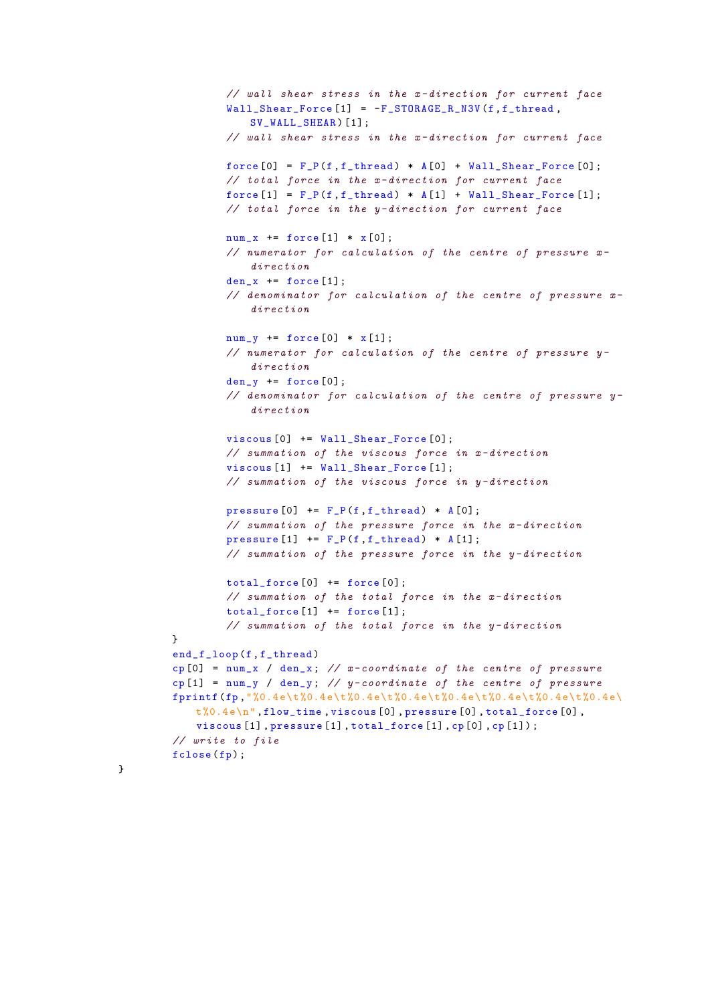```
// wall shear stress in the x- direction for current face
        Wall_Shear_Force [1] = -F_STORAGE_R_N3V(f, f_thread,SV_WALL_SHEAR ) [1];
        // wall shear stress in the x- direction for current face
        force [0] = F_P(f, f_thread) * A[0] + Wall_Shear_Force[0];// total force in the x- direction for current face
        force [1] = F_P(f, f_thread) * A[1] + Wall_Shear_Force [1];// total force in the y- direction for current face
        num_x += force [1] * x [0];
        // numerator for calculation of the centre of pressure x-
            direction
        den_x += force [1];// denominator for calculation of the centre of pressure x-
            direction
        num_y += force [0] * x [1];
        // numerator for calculation of the centre of pressure y-
            direction
        den_y += force[0];// denominator for calculation of the centre of pressure y-
            direction
        viscous [0] += Wall_Shear_Force [0];
        // summation of the viscous force in x- direction
        viscous [1] += Wall_Shear_Force [1];
        // summation of the viscous force in y- direction
        pressure [0] += F_P(f, f_{thread}) * A[0];// summation of the pressure force in the x-direction
        pressure [1] += F_P(f, f_{thread}) * A[1];// summation of the pressure force in the y- direction
        total_force [0] += force [0];
        // summation of the total force in the x- direction
        total\_force [1] += force [1];// summation of the total force in the y- direction
}
end_f_loop(f,f_thread)
cp[0] = num_x / den_x; // x-coordinate of the centre of pressure
cp [1] = num_y / den_y; // y-coordinate of the centre of pressure
fprintf (fp, "%0.4e\t%0.4e\t%0.4e\t%0.4e\t%0.4e\t%0.4e\t%0.4e\t%0.4e\t%0.4
   t\%0.4e\<sup>n</sup>, flow_time, viscous [0], pressure [0], total_force [0],
   viscous [1] , pressure [1] , total_force [1] , cp [0] , cp [1]) ;
// write to file
fclose (fp);
```
}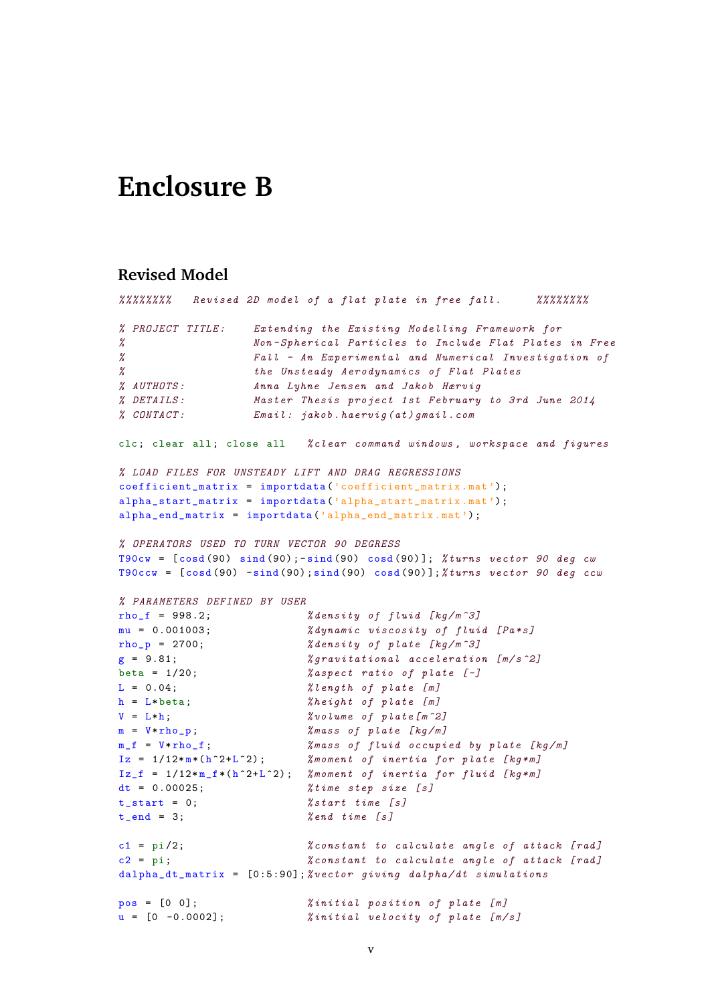## **Enclosure B**

## **Revised Model**

```
% %%%%%%% Revised 2D model of a flat plate in free fall . %%%%%%%%
% PROJECT TITLE : Extending the Existing Modelling Framework for
% Non - Spherical Particles to Include Flat Plates in Free
% Fall - An Experimental and Numerical Investigation of
% the Unsteady Aerodynamics of Flat Plates
% AUTHOTS : Anna Lyhne Jensen and Jakob Hærvig
% DETAILS : Master Thesis project 1st February to 3rd June 2014
% CONTACT : Email : jakob . haervig (at) gmail .com
clc; clear all; close all % clear command windows, workspace and figures
% LOAD FILES FOR UNSTEADY LIFT AND DRAG REGRESSIONS
coefficient_matrix = importdata('coefficient_matrix .mat');alpha_start_matrix = importdata (' alpha_start_matrix .mat ') ;
alpha_end_matrix = importdata (' alpha_end_matrix .mat ') ;
% OPERATORS USED TO TURN VECTOR 90 DEGRESS
T90cw = [cosd(90) sind(90) ; -sind(90) cosd(90)]; % turns vector 90 deg cwT90ccw = [cosd(90) -sind(90) ; sind(90) cosd(90)]; %turns vector 90 deg ccw% PARAMETERS DEFINED BY USER
rho_f = 998.2; \% density \ of \ fluid \ [kg/m^3]mu = 0.001003; % dynamic viscosity of fluid [Pa*s]
rho_p = 2700; % density of plate [kg/m^3]g = 9.81; \text{gammaization} acceleration [m/s^2]beta = 1/20; \%aspect ratio of plate [-]L = 0.04; \text{\%length of plate [m]}h = L * \text{beta}; <br> % height of plate [m]V = L*h;  \text{You} \quad \text{You} \quad \text{only} \quad \text{You} \quad \text{but} \quad \text{You}.m = V*rho_p; \%mass of plate [kg/m]m_f = V* rho_f ; % mass of fluid occupied by plate [kg/m]
Iz = 1/12* m*(h^2+L^2); % moment of inertia for plate [kg*m]
Iz_f = 1/12 * m_f * (h^2+L^2); % moment of inertia for fluid [kg*m]<br>dt = 0.00025; % time step size [s]
                          %time step size [s]
t_{start} = 0; <br> %start time [s]t_{end} = 3; %end time [s]c1 = pi/2; % constant to calculate angle of at tack [rad]c2 = pi; % constant to calculate angle of attack [rad]
dalpha_dt_matrix = [0:5:90]; % vector giving dalpha/dt simulations
pos = [0 0];<br>
u = [0 -0.0002];<br>
%initial velocity of plate [m/
                         % initial velocity of plate [m/s]
```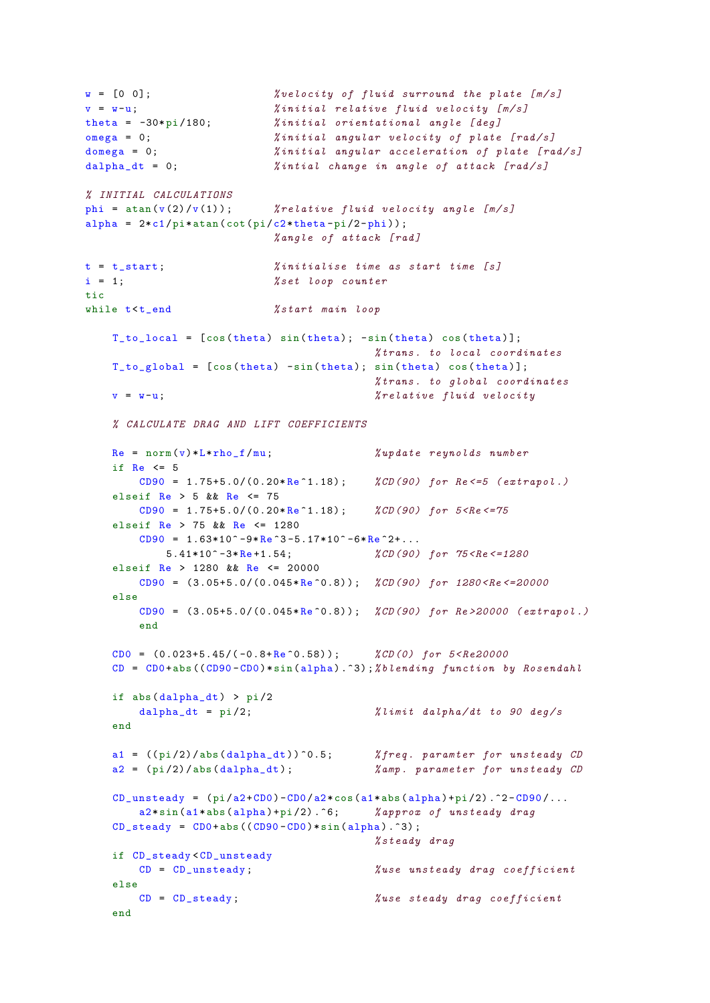```
w = [0 \ 0]; \frac{2}{3} \frac{2}{3} \frac{2}{3} \frac{2}{3} \frac{2}{3} \frac{2}{3} \frac{2}{3} \frac{2}{3} \frac{2}{3} \frac{2}{3} \frac{2}{3} \frac{2}{3} \frac{2}{3} \frac{2}{3} \frac{2}{3} \frac{2}{3} \frac{2}{3} \frac{2}{3} \frac{2}{3} \frac{2}{3} \frac{2}{3} 
v = w-u;<br>
% initial relative fluid velocity [m/s]<br>
theta = -30*pi/180;<br>
% initial orientational angle [deg]% initial orientational angle [deg]
omega = 0; % initial angular velocity of plate [rad/s]
domega = 0; \frac{\partial}{\partial n} initial angular acceleration of plate [rad/s]
dalpha_dt = 0; <br> %intial change in angle of attack [rad/s]
% INITIAL CALCULATIONS
phi = atan (v(2)/v(1)); % relative fluid velocity angle [m/s]alpha = 2*c1/pi*atan(cot(pi/c2*theta-pi/2-phi));% angle of attack [rad]
t = t_start; \chiinitialise time as start time [s]
i = 1; % set loop countertic
while t < t end % start main loop
     T_to_local = [cos(theta) sin(theta); -sin(theta) cos(theta)];% trans . to local coordinates
     T_to_global = [cos(theta) -sin(theta); sin(theta) cos(theta)];% trans . to global coordinates
     v = w-u;<br>
\%relative fluid velocity
     % CALCULATE DRAG AND LIFT COEFFICIENTS
    Re = norm(v) * L * rho_f / mu; <br> % update repnobds numberif Re \leq 5CDD90 = 1.75+5.0/(0.20*Re^1.18); %CD(90) for Re \le 5 (extrapol.)
     elseif Re > 5 & Re < 75CD90 = 1.75+5.0/(0.20*Re<sup>-1.18)</sup>; %CD(90) for 5 < Re \le 75elseif Re > 75 && Re <= 1280
         CD90 = 1.63*10<sup>2</sup> -9* Re 3-5.17*10<sup>2</sup> -6* Re 2+...5.41*10^ -3* Re +1.54; \text{\%CD} (90) for \text{\%R}e \leq 1280elseif Re > 1280 && Re <= 20000
         CD90 = (3.05+5.0/(0.045*Re^0.8)); %CD(90) for 1280 <Re <= 20000
     else
         CD90 = (3.05+5.0/(0.045*Re^0.8)); %CD(90) for Re > 20000 (extrapol.)
         end
     CD0 = (0.023+5.45/(-0.8+Re^0.58)); %CD(0) for 5 < Re20000
     CD = CD0 + abs ((CD90 - CD0) * sin( alpha) . 3); % blending function by Rosendahlif abs( dalpha_dt ) > pi /2
        dalpha_dt = pi/2; \frac{\partial}{\partial u} \frac{\partial}{\partial u} \frac{\partial}{\partial u} \frac{\partial}{\partial u} \frac{\partial}{\partial u} \frac{\partial}{\partial u} \frac{\partial}{\partial v} \frac{\partial}{\partial v} \frac{\partial}{\partial v} \frac{\partial}{\partial v}end
     a1 = ((pi/2)/abs(dalpha_d t))^0.5; % freq. paramter for unsteady CD
     a2 = (pi/2)/abs (dalpha_dt); \%ampamp. parameter for unsteady CD
     CD_unsteady = (pi/a2+CDO)-CDO/a2*cos(a1*abs(alpha)+pi/2).^2-CD90/...
         a2*sin(a1*abs(a1pha) + pi/2). \hat{6}; % approx of unsteady drag
     CD_steady = CD0 + abs ((CD90 - CD0) * sin( alpha) .^3);% steady drag
     if CD_steady < CD_unsteady
         CD = CD unsteady; \frac{y}{x}use unsteady drag coefficient
     else
       CD = CD_steady; \textit{Wuse steady drag coefficient}end
```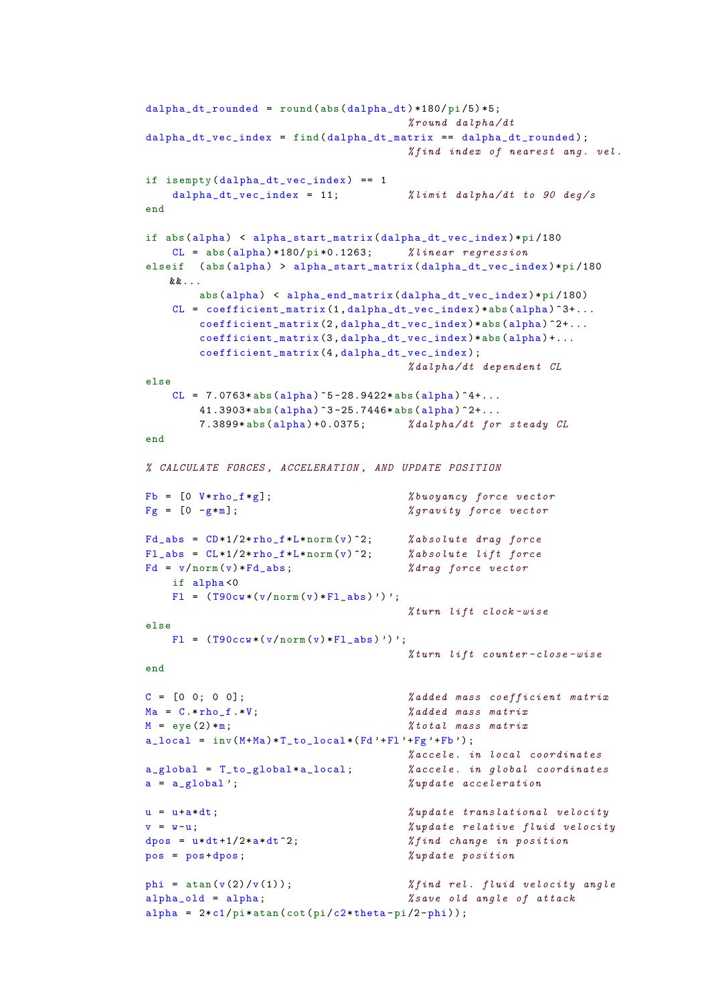```
dalpha_dt_rounded = round (abs( dalpha_dt ) *180/ pi /5) *5;
                                     % round dalpha /dt
dalpha_dt_vec_index = find (dalpha_dt_matrix == dalpha_dt_rounded);
                                     % find index of nearest ang. vel.
if isempty (dalpha_d t_{vec_index}) == 1dalpha_dt_vec_index = 11; \frac{\text{77}}{\text{77}} % limit dalpha/dt to 90 deg/s
end
if abs( alpha ) < alpha_start_matrix ( dalpha_dt_vec_index )*pi /180
   CL = abs(alpha) *180/pi *0.1263; % linear regression
elseif (abs(alpha) > alpha_start_matrix(dalpha_dt_vec_index)*pi/180
   &&...
       abs( alpha ) < alpha_end_matrix ( dalpha_dt_vec_index ) *pi /180)
   CL = coefficient_matrix (1, dalpha_d t\_vec\_index ) *abs(dalpha)^3+....
       coefficient_matrix (2 , dalpha_dt_vec_index )*abs( alpha ) ^2+...
       coefficient_matrix (3 , dalpha_dt_vec_index )*abs( alpha ) +...
       coefficient_matrix (4 , dalpha_dt_vec_index );
                                      % dalpha /dt dependent CL
else
   CL = 7.0763 * abs(alpha) ^5-28.9422* abs(alpha) ^4+...
       41.3903* abs(alpha) ^3-25.7446* abs(alpha) ^2+...
       7.3899* abs( alpha ) +0.0375; % dalpha /dt for steady CL
end
% CALCULATE FORCES , ACCELERATION , AND UPDATE POSITION
Fb = [0 \text{ V*rho_f * g}]; %buoyancy force vector
Fg = [0 - g * m];   %   %   gravity force vector
Fd_abs = CD*1/2*rho_f*L*norm(v)^2; %absolute drag force
FL_abs = CL*1/2*rho_f*L*norm(v)^2; %absolute lift force
Fd = v/norm(v)*Fd_abs; % % % drag force vectorif alpha <0
   F1 = (T90cw*(v/norm(v)*F1_abs)')';
                                     % turn lift clock - wise
else
   F1 = (T90ccw * (v/norm(v) * F1_abs)')';
                                     % turn lift counter -close - wise
end
C = [0 \t 0; 0 \t 0]; % added mass coefficient matrix
Ma = C.*rho_f.*V; % added mass matrix
M = eye(2) * m; % total mass matrixa\_local = inv(M+Ma)*T_to\_local*(Fd'*F1'*Fg'*Fb');
                                      % accele . in local coordinates
a_global = T_to_global * a<sub>_l</sub>ocal; % a_{c}cele. in global coordinates
a = a_global'; \text{``update} \text{``update} \text{acceleration}u = u+a*dt;<br> \text{``update translational velocity}v = w-u;<br>\hbox{``update relative fluid velocity}dpos = u*dt+1/2* a*dt^2; <br> %find change in positionpos = pos + dpos; % update positionphi = atan(v(2)/v(1)); \chifind rel. fluid velocity angle
alpha_old = alpha; % save old angle of attack
alpha = 2*c1/pi*atan(cot(pi/c2*theta-pi/2-phi));
```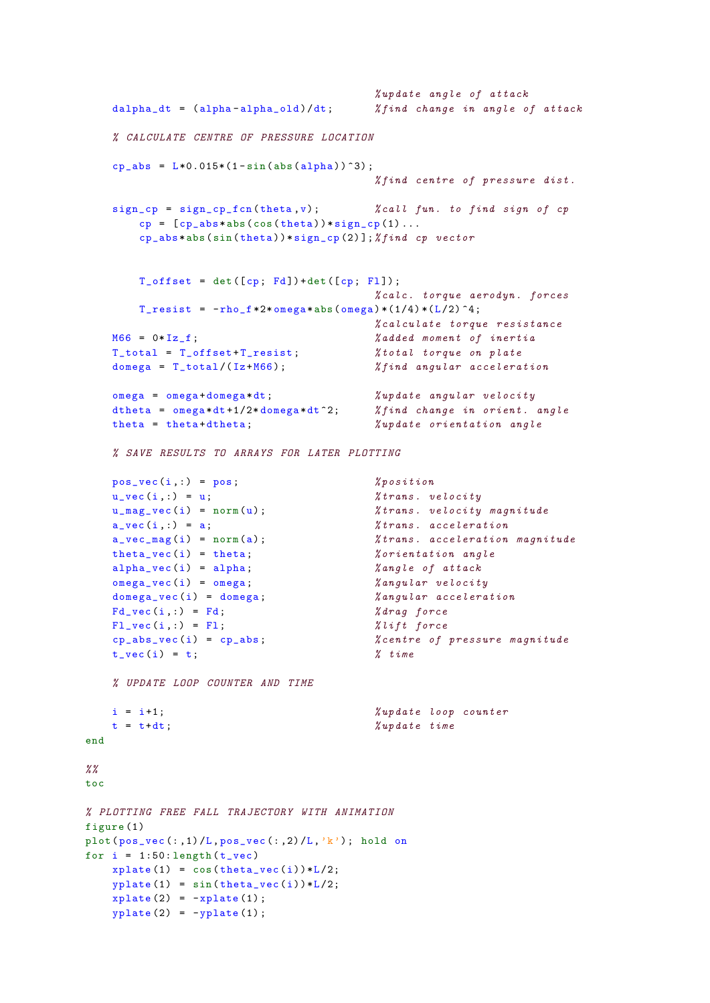```
% update angle of attack
   dalpha_dt = (alpha-alpha_old)/dt; % find change in angle of attack
   % CALCULATE CENTRE OF PRESSURE LOCATION
   cp_abs = L*0.015*(1-sin(abs(alpha))^3);% find centre of pressure dist .
   sign_c p = sign_c p_f cn (theta, v); %call fun. to find sign of cp
       cp = [cp_abs * abs(cos(theta)) * sign_cp(1) ...]cp_abs *abs(sin(theta)) * sign_cp(2)]; %find cp vectorT_{\text{offset}} = \text{det}([cp; Fd]) + \text{det}([cp; F1]);% <i>calc.</i> <i>torque aerodyn</i>. <i>forces</i>T_resist = -rho_f *2 * \nomega_{\text{sega} * \text{abs}}(\omega_{\text{mega}}) * (1/4) * (L/2) ^4;% calculate torque resistance
   M66 = 0*Iz_f;<br>
% added moment of inertiaT_total = T_offset + T_resist ; % total torque on plate
   domega = T_total /( Iz+M66); % find angular acceleration
   omega = omega + domega *dt; % update angular velocity
   dtheta = omega*dt+1/2*domega*dt<sup>-2</sup>; % find change in orient. angle
   theta = theta+dtheta;<br> \chi wpdate orientation angle
   % SAVE RESULTS TO ARRAYS FOR LATER PLOTTING
   pos_vec (i ,:) = pos; % position
   u_{\text{v}}vec(i,:) = u; <br> %trans. velocityu_mag_vec (i) = norm (u) ; % trans . velocity magnitude
   a_{\text{v}}(i,:) = a; %trans. accelerationa_vec_mag (i) = norm (a) ; % trans . acceleration magnitude
   theta\_vec(i) = theta; <br> % orientation anglealpha\_vec(i) = alpha; <br> %angle of attackomega_vec (i) = omega ; % angular velocity
   domega_vec(i) = domega; \%angular accelerationFd_vec (i ,:) = Fd; % drag force
   FL\_vec(i, :) = Fl; <br> %lift~forcecp_abs_vec (i) = cp_abs ; % centre of pressure magnitude
   t_{\text{v}} vec (i) = t; \% time
   % UPDATE LOOP COUNTER AND TIME
   i = i+1; % update loop counter
   t = t + dt; \text{w}ydata = t ime
end
\frac{\%}{\%}toc
% PLOTTING FREE FALL TRAJECTORY WITH ANIMATION
figure (1)
plot (pos\_vec(:,1)/L, pos\_vec(:,2)/L,'k'); hold on
for i = 1:50: length(t<sub>2</sub>vec)xplate(1) = cos(theta\_vec(i)) * L/2;yplate(1) = sin(theta\_vec(i)) * L/2;xplate(2) = -xplate(1);yplate(2) = -yplate(1);
```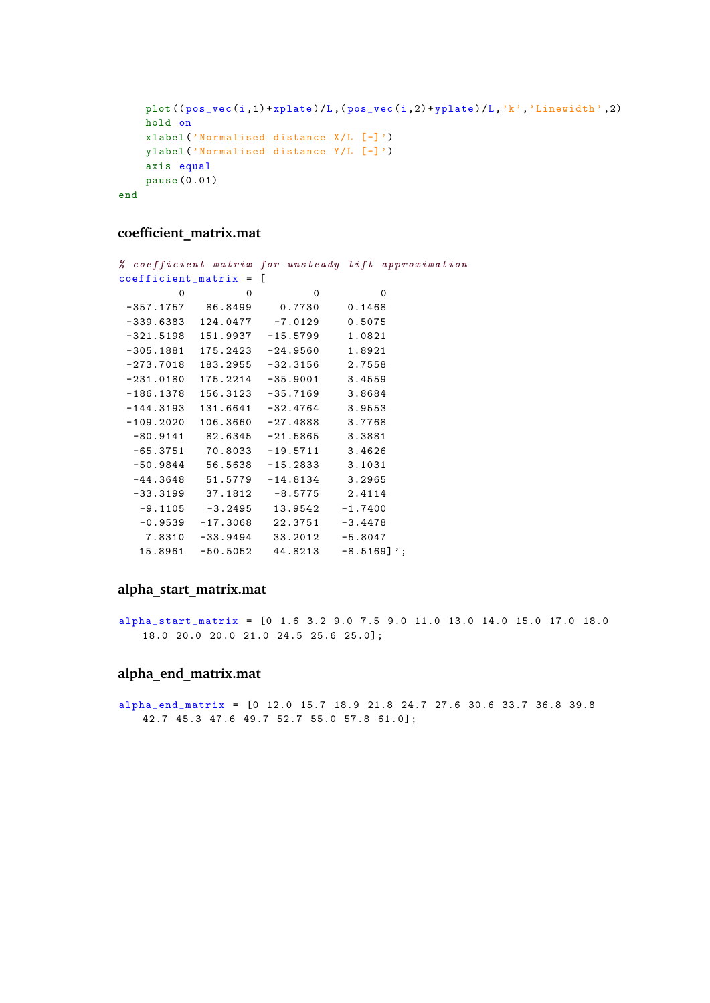```
plot ((pos\_vec(i,1) + xplate)/L, (pos\_vec(i,2) + yplate)/L, 'k', 'Linewidth',2)
   hold on
   xlabel ('Normalised distance X/L [-]')
    ylabel ('Normalised distance Y/L [ -] ')
    axis equal
    pause (0.01)
end
```
### **coefficient\_matrix.mat**

|                          |          |                                            | % coefficient matrix for unsteady lift approximation |  |
|--------------------------|----------|--------------------------------------------|------------------------------------------------------|--|
| $coefficient_matrix = [$ |          |                                            |                                                      |  |
| 0                        | $\Omega$ | $\Omega$                                   | $\Omega$                                             |  |
|                          |          | $-357.1757$ 86.8499 0.7730                 | 0.1468                                               |  |
|                          |          | $-339.6383$ $124.0477$ $-7.0129$ 0.5075    |                                                      |  |
|                          |          | $-321.5198$ $151.9937$ $-15.5799$ $1.0821$ |                                                      |  |
|                          |          | $-305.1881$ $175.2423$ $-24.9560$ $1.8921$ |                                                      |  |
|                          |          | $-273.7018$ 183.2955 $-32.3156$ 2.7558     |                                                      |  |
|                          |          | $-231.0180$ $175.2214$ $-35.9001$ $3.4559$ |                                                      |  |
|                          |          | $-186.1378$ $156.3123$ $-35.7169$ 3.8684   |                                                      |  |
|                          |          | $-144.3193$ $131.6641$ $-32.4764$ 3.9553   |                                                      |  |
|                          |          | $-109.2020$ $106.3660$ $-27.4888$ 3.7768   |                                                      |  |
|                          |          | $-80.9141$ $82.6345$ $-21.5865$ $3.3881$   |                                                      |  |
|                          |          | $-65.3751$ 70.8033 $-19.5711$ 3.4626       |                                                      |  |
|                          |          | $-50.9844$ $56.5638$ $-15.2833$ 3.1031     |                                                      |  |
|                          |          | $-44.3648$ 51.5779 $-14.8134$ 3.2965       |                                                      |  |
|                          |          | $-33.3199$ $37.1812$ $-8.5775$ 2.4114      |                                                      |  |
|                          |          | $-9.1105 -3.2495$ 13.9542 $-1.7400$        |                                                      |  |
|                          |          | $-0.9539 -17.3068$ 22.3751 $-3.4478$       |                                                      |  |
|                          |          | 7.8310 -33.9494 33.2012 -5.8047            |                                                      |  |
|                          |          | $15.8961$ -50.5052 44.8213 -8.5169]';      |                                                      |  |
|                          |          |                                            |                                                      |  |

### **alpha\_start\_matrix.mat**

alpha\_start\_matrix = [0 1.6 3.2 9.0 7.5 9.0 11.0 13.0 14.0 15.0 17.0 18.0 18.0 20.0 20.0 21.0 24.5 25.6 25.0];

### **alpha\_end\_matrix.mat**

alpha\_end\_matrix = [0 12.0 15.7 18.9 21.8 24.7 27.6 30.6 33.7 36.8 39.8 42.7 45.3 47.6 49.7 52.7 55.0 57.8 61.0];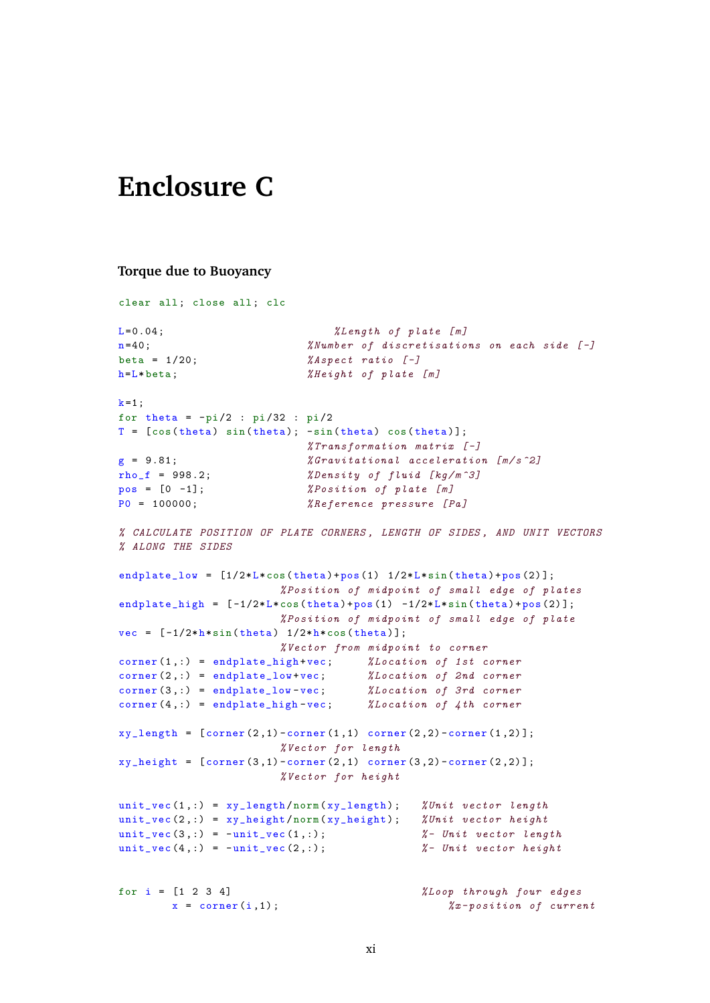## **Enclosure C**

#### **Torque due to Buoyancy**

clear all; close all; clc  $L = 0.04$ ;  $\text{Length of plate [m]}$ n=40;  $\%$ Number of discretisations on each side [-] beta =  $1/20$ ;  $\%$ Aspect ratio  $[-]$  $h=L * \text{beta};$ <br> $% Height \text{ of } plate [m]$  $k=1$ ; for theta =  $-pi/2$  :  $pi/32$  :  $pi/2$  $T = [\cos(\theta) \sin(\theta) + \sin(\theta) \cos(\theta)]$ ;  $%$ Transformation matrix  $[-]$  $g = 9.81$ ;  $\%$  Gravitational acceleration  $[m/s^2]$ rho\_f = 998.2;  $\text{\%Density of fluid} [kg/m^3]$  $pos = [0 -1];$   $% Position of plate [m]$ P0 = 100000;  $%Reference\ pressure\ [Pa]$ % CALCULATE POSITION OF PLATE CORNERS , LENGTH OF SIDES , AND UNIT VECTORS % ALONG THE SIDES endplate\_low =  $[1/2*L*cos(theta)+pos(1) 1/2*L*sin(theta)+pos(2)]$ ; % Position of midpoint of small edge of plates endplate\_high =  $[-1/2*L*cos(theta)+pos(1) -1/2*L*sin(theta)+pos(2)];$ % Position of midpoint of small edge of plate vec =  $[-1/2*h*sin(theta) 1/2*h*cos(theta)$ ; % Vector from midpoint to corner corner (1, :) = endplate\_high +vec; % Location of 1st corner corner (2,:) = endplate\_low+vec; % Location of 2nd corner corner (3,:) = endplate\_low-vec; % Location of 3rd corner corner (4 ,:) = endplate\_high -vec; % Location of 4th corner  $xy_length = [corner(2,1)-corner(1,1) corner(2,2)-corner(1,2)];$ % Vector for length  $xy_{\text{height}} = [\text{corner}(3,1)-\text{corner}(2,1)]$  corner  $(3,2)-\text{corner}(2,2)]$ ; % Vector for height unit\_vec  $(1, :) = xy$ \_length / norm  $(xy$ \_length); % Unit vector length unit\_vec  $(2, :) = xy_{height}/norm(xy_{height});$  % Unit vector height unit\_vec  $(3, :) = -$ unit\_vec  $(1, :)$ ;  $\frac{1}{2}$  = Unit vector length unit\_vec  $(4, :)$  = -unit\_vec  $(2, :)$ ;  $\frac{1}{2}$  Unit vector height for i = [1 2 3 4] % Loop through four edges  $x = corner(i, 1);$ <br> $\frac{\%x - position \ of \ current}{\%x - position \ of \ current}$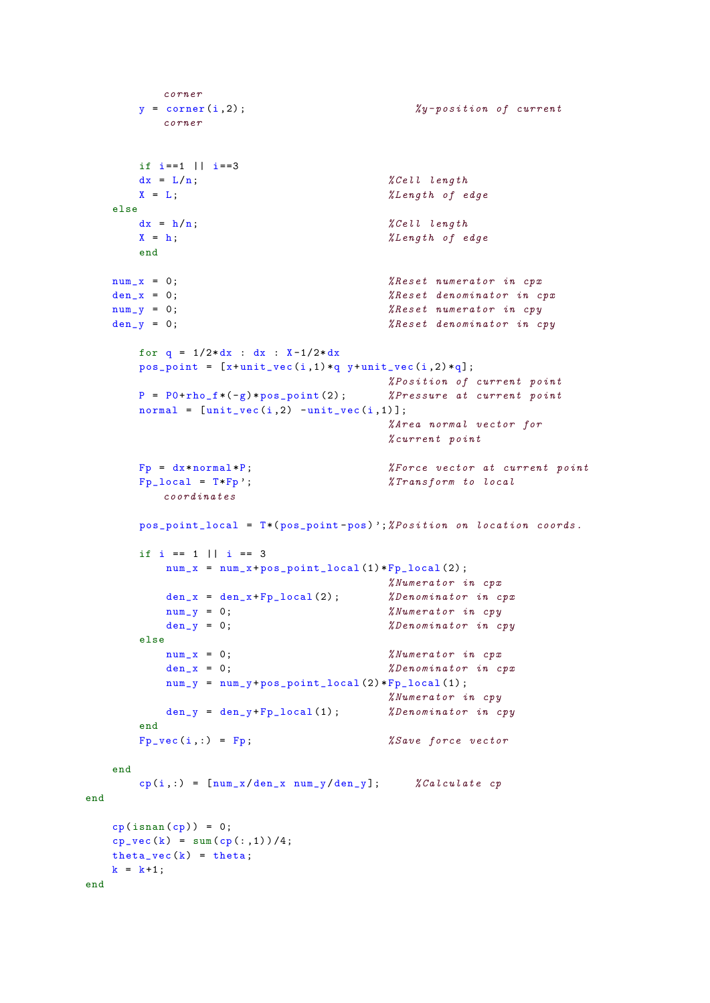```
corner
       y = corner(i, 2); <br> \frac{y - position of current}{y}corner
       if i == 1 || i == 3dx = L/n; \sqrt[n]{Cell length}X = L; \text{X Length of edge}else
       dx = h/n;  \sqrt[n]{Cell length}X = h; \text{XLength of edge}end
   num_x = 0; <br> % Research numerator in cpxden_x = 0; \chi Reset denominator in cpx
   num_y = 0; <br> % Research numerator in cpuden_y = 0; \text{%} Reset denominator in cpy
       for q = 1/2 * dx : dx : X-1/2 * dxpos\_point = [x + unit\_vec(i,1)*q y + unit\_vec(i,2)*q];% Position of current point
       P = P0 + rho_f * (-g) * pos\_point(2); <br> %Pressure at current pointnormal = [unit\_vec(i,2) -unit\_vec(i,1)];% Area normal vector for
                                            % current point
       Fp = dx * normal * P;   % x = x * p   % x = x * p   x * p   x * p   x * p   y * p   y * p   y * p   y * p   y * p   y * p   y * p   y * p   y * p   y * p   y * p   y * p   y * p   y * p   y * p   y * p   y * p   y * p   y * p   y * p   Fp\_local = T*Fp ; <br> %Transformer to localcoordinates
       pos_point_local = T*( pos_point -pos) ';% Position on location coords .
       if i == 1 || i == 3num_x = num_x + pos\_point\_local(1) * Fp\_local(2);% Numerator in cpx
           den_x = den_x + Fp\_local(2); <br> \%Denominator in cpxnum_y = 0;   \frac{N}{W}   \frac{N}{W}   \frac{npy}{W}den_y = 0; \text{\%} Denominator in copyelse
           num_x = 0; <br> % Numerator in cpxden_x = 0; \text{\%}Denominator in cpxnum_y = num_y + pos\_point\_local(2) * Fp\_local(1);% Numerator in cpy
           den_y = den_y + Fp\_local(1); <br> \%Denominator in cyend
       Fp_{\text{v}}vec(i, :) = Fp;   %Save force vector
   end
       cp(i, :) = [num_x/den_x num_y/den_y]; % Calculate cp
end
   cp(isnan (cp)) = 0;cp\_vec(k) = sum(cp(:,1))/4;theta\_vec(k) = theta;k = k+1;
end
```